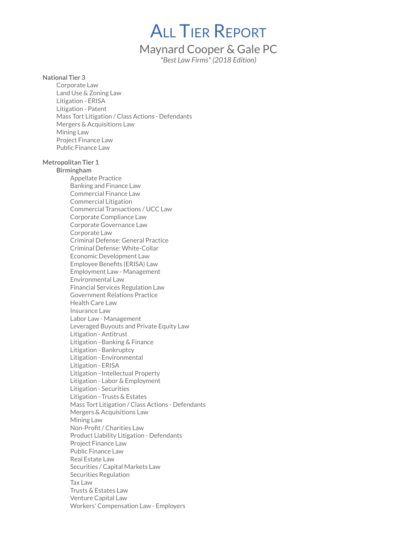**ALL TIER REPORT** 

# Maynard Cooper & Gale PC

"Best Law Firms" (2018 Edition)

#### National Tier 3

Corporate Law Land Use & Zoning Law Litigation - ERISA Litigation - Patent Mass Tort Litigation / Class Actions - Defendants Mergers & Acquisitions Law Mining Law Project Finance Law Public Finance Law

# Metropolitan Tier 1

Birmingham Appellate Practice Banking and Finance Law Commercial Finance Law Commercial Litigation Commercial Transactions / UCC Law Corporate Compliance Law Corporate Governance Law Corporate Law Criminal Defense: General Practice Criminal Defense: White-Collar Economic Development Law Employee Benefits (ERISA) Law Employment Law - Management Environmental Law Financial Services Regulation Law Government Relations Practice Health Care Law Insurance Law Labor Law - Management Leveraged Buyouts and Private Equity Law Litigation - Antitrust Litigation - Banking & Finance Litigation - Bankruptcy Litigation - Environmental Litigation - ERISA Litigation - Intellectual Property Litigation - Labor & Employment Litigation - Securities Litigation - Trusts & Estates Mass Tort Litigation / Class Actions - Defendants Mergers & Acquisitions Law Mining Law Non-Profit / Charities Law Product Liability Litigation - Defendants Project Finance Law Public Finance Law Real Estate Law Securities / Capital Markets Law Securities Regulation Tax Law Trusts & Estates Law Venture Capital Law Workers' Compensation Law - Employers